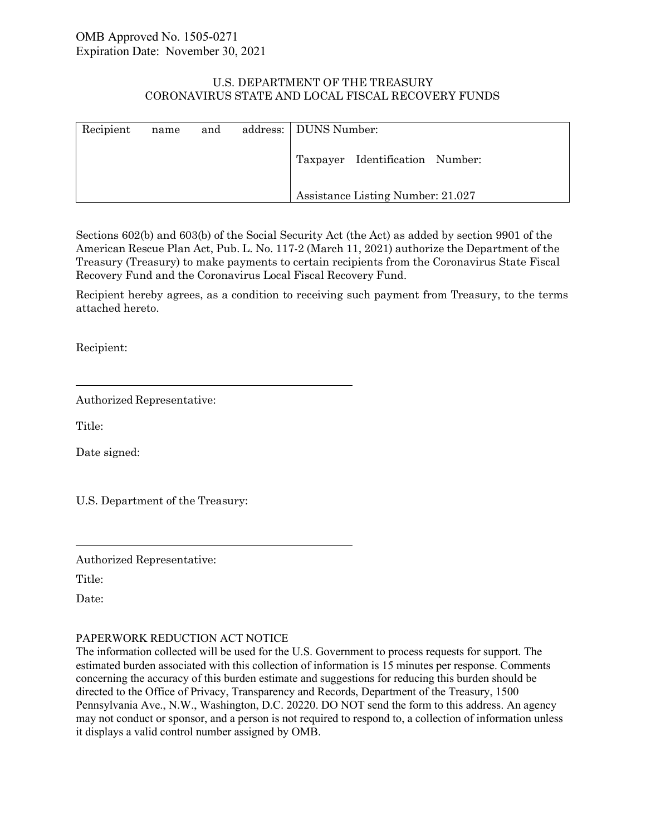# U.S. DEPARTMENT OF THE TREASURY CORONAVIRUS STATE AND LOCAL FISCAL RECOVERY FUNDS

| Recipient | name | and | address:   DUNS Number:           |
|-----------|------|-----|-----------------------------------|
|           |      |     | Taxpayer Identification Number:   |
|           |      |     | Assistance Listing Number: 21.027 |

Sections 602(b) and 603(b) of the Social Security Act (the Act) as added by section 9901 of the American Rescue Plan Act, Pub. L. No. 117-2 (March 11, 2021) authorize the Department of the Treasury (Treasury) to make payments to certain recipients from the Coronavirus State Fiscal Recovery Fund and the Coronavirus Local Fiscal Recovery Fund.

Recipient hereby agrees, as a condition to receiving such payment from Treasury, to the terms attached hereto.

Recipient:

Authorized Representative:

Title:

Date signed:

U.S. Department of the Treasury:

Authorized Representative:

Title:

Date:

# PAPERWORK REDUCTION ACT NOTICE

The information collected will be used for the U.S. Government to process requests for support. The estimated burden associated with this collection of information is 15 minutes per response. Comments concerning the accuracy of this burden estimate and suggestions for reducing this burden should be directed to the Office of Privacy, Transparency and Records, Department of the Treasury, 1500 Pennsylvania Ave., N.W., Washington, D.C. 20220. DO NOT send the form to this address. An agency may not conduct or sponsor, and a person is not required to respond to, a collection of information unless it displays a valid control number assigned by OMB.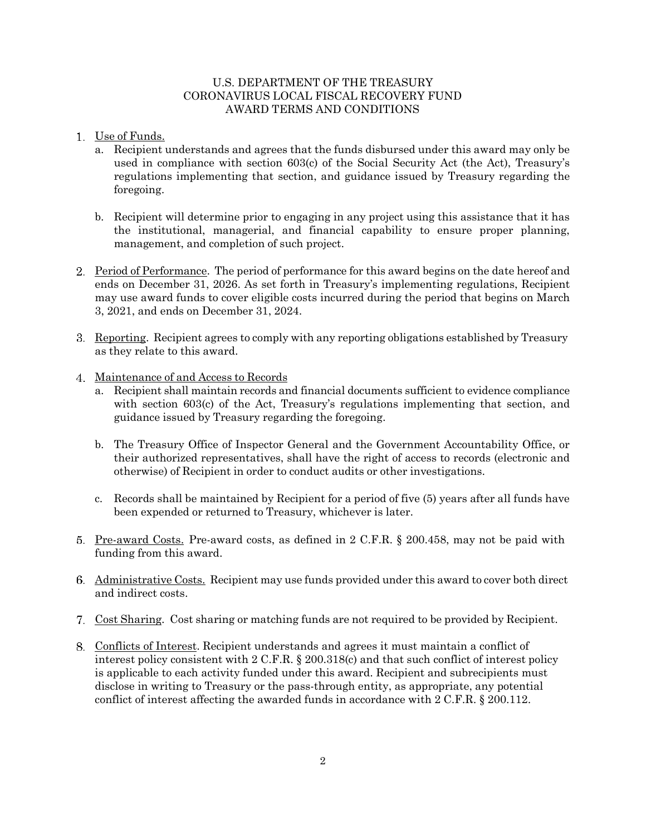## U.S. DEPARTMENT OF THE TREASURY CORONAVIRUS LOCAL FISCAL RECOVERY FUND AWARD TERMS AND CONDITIONS

- Use of Funds.
	- a. Recipient understands and agrees that the funds disbursed under this award may only be used in compliance with section 603(c) of the Social Security Act (the Act), Treasury's regulations implementing that section, and guidance issued by Treasury regarding the foregoing.
	- b. Recipient will determine prior to engaging in any project using this assistance that it has the institutional, managerial, and financial capability to ensure proper planning, management, and completion of such project.
- Period of Performance. The period of performance for this award begins on the date hereof and ends on December 31, 2026. As set forth in Treasury's implementing regulations, Recipient may use award funds to cover eligible costs incurred during the period that begins on March 3, 2021, and ends on December 31, 2024.
- Reporting. Recipient agrees to comply with any reporting obligations established by Treasury as they relate to this award.
- 4. Maintenance of and Access to Records
	- a. Recipient shall maintain records and financial documents sufficient to evidence compliance with section 603(c) of the Act, Treasury's regulations implementing that section, and guidance issued by Treasury regarding the foregoing.
	- b. The Treasury Office of Inspector General and the Government Accountability Office, or their authorized representatives, shall have the right of access to records (electronic and otherwise) of Recipient in order to conduct audits or other investigations.
	- c. Records shall be maintained by Recipient for a period of five (5) years after all funds have been expended or returned to Treasury, whichever is later.
- 5. Pre-award Costs. Pre-award costs, as defined in 2 C.F.R. § 200.458, may not be paid with funding from this award.
- Administrative Costs. Recipient may use funds provided under this award to cover both direct and indirect costs.
- Cost Sharing. Cost sharing or matching funds are not required to be provided by Recipient.
- Conflicts of Interest. Recipient understands and agrees it must maintain a conflict of interest policy consistent with 2 C.F.R. § 200.318(c) and that such conflict of interest policy is applicable to each activity funded under this award. Recipient and subrecipients must disclose in writing to Treasury or the pass-through entity, as appropriate, any potential conflict of interest affecting the awarded funds in accordance with 2 C.F.R. § 200.112.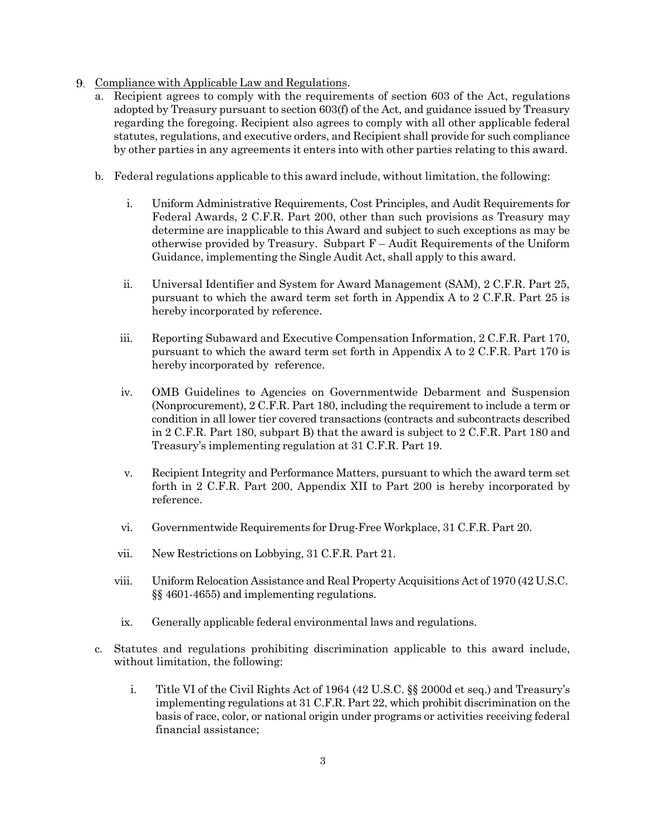- Compliance with Applicable Law and Regulations.
	- a. Recipient agrees to comply with the requirements of section 603 of the Act, regulations adopted by Treasury pursuant to section 603(f) of the Act, and guidance issued by Treasury regarding the foregoing. Recipient also agrees to comply with all other applicable federal statutes, regulations, and executive orders, and Recipient shall provide for such compliance by other parties in any agreements it enters into with other parties relating to this award.
	- b. Federal regulations applicable to this award include, without limitation, the following:
		- i. Uniform Administrative Requirements, Cost Principles, and Audit Requirements for Federal Awards, 2 C.F.R. Part 200, other than such provisions as Treasury may determine are inapplicable to this Award and subject to such exceptions as may be otherwise provided by Treasury. Subpart  $F -$  Audit Requirements of the Uniform Guidance, implementing the Single Audit Act, shall apply to this award.
		- ii. Universal Identifier and System for Award Management (SAM), 2 C.F.R. Part 25, pursuant to which the award term set forth in Appendix A to 2 C.F.R. Part 25 is hereby incorporated by reference.
		- iii. Reporting Subaward and Executive Compensation Information, 2 C.F.R. Part 170, pursuant to which the award term set forth in Appendix A to 2 C.F.R. Part 170 is hereby incorporated by reference.
		- iv. OMB Guidelines to Agencies on Governmentwide Debarment and Suspension (Nonprocurement), 2 C.F.R. Part 180, including the requirement to include a term or condition in all lower tier covered transactions (contracts and subcontracts described in 2 C.F.R. Part 180, subpart B) that the award is subject to 2 C.F.R. Part 180 and Treasury's implementing regulation at 31 C.F.R. Part 19.
		- v. Recipient Integrity and Performance Matters, pursuant to which the award term set forth in 2 C.F.R. Part 200, Appendix XII to Part 200 is hereby incorporated by reference.
		- vi. Governmentwide Requirements for Drug-Free Workplace, 31 C.F.R. Part 20.
		- vii. New Restrictions on Lobbying, 31 C.F.R. Part 21.
		- viii. Uniform Relocation Assistance and Real Property Acquisitions Act of 1970 (42 U.S.C. §§ 4601-4655) and implementing regulations.
		- ix. Generally applicable federal environmental laws and regulations.
	- c. Statutes and regulations prohibiting discrimination applicable to this award include, without limitation, the following:
		- i. Title VI of the Civil Rights Act of 1964 (42 U.S.C. §§ 2000d et seq.) and Treasury's implementing regulations at 31 C.F.R. Part 22, which prohibit discrimination on the basis of race, color, or national origin under programs or activities receiving federal financial assistance;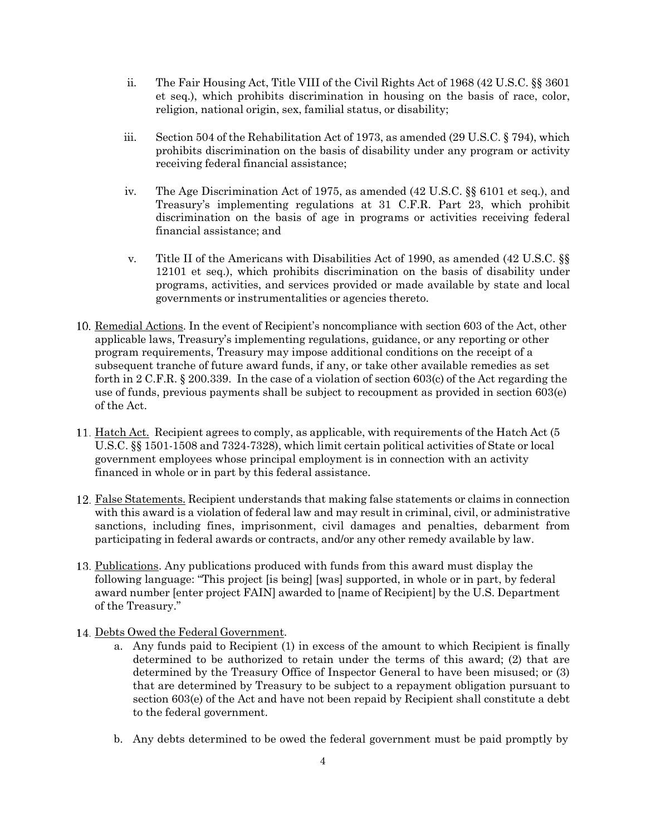- ii. The Fair Housing Act, Title VIII of the Civil Rights Act of 1968 (42 U.S.C. §§ 3601 et seq.), which prohibits discrimination in housing on the basis of race, color, religion, national origin, sex, familial status, or disability;
- iii. Section 504 of the Rehabilitation Act of 1973, as amended (29 U.S.C. § 794), which prohibits discrimination on the basis of disability under any program or activity receiving federal financial assistance;
- iv. The Age Discrimination Act of 1975, as amended (42 U.S.C. §§ 6101 et seq.), and Treasury's implementing regulations at 31 C.F.R. Part 23, which prohibit discrimination on the basis of age in programs or activities receiving federal financial assistance; and
- v. Title II of the Americans with Disabilities Act of 1990, as amended (42 U.S.C. §§ 12101 et seq.), which prohibits discrimination on the basis of disability under programs, activities, and services provided or made available by state and local governments or instrumentalities or agencies thereto.
- 10. Remedial Actions. In the event of Recipient's noncompliance with section 603 of the Act, other applicable laws, Treasury's implementing regulations, guidance, or any reporting or other program requirements, Treasury may impose additional conditions on the receipt of a subsequent tranche of future award funds, if any, or take other available remedies as set forth in 2 C.F.R. § 200.339. In the case of a violation of section 603(c) of the Act regarding the use of funds, previous payments shall be subject to recoupment as provided in section 603(e) of the Act.
- 11. Hatch Act. Recipient agrees to comply, as applicable, with requirements of the Hatch Act (5) U.S.C. §§ 1501-1508 and 7324-7328), which limit certain political activities of State or local government employees whose principal employment is in connection with an activity financed in whole or in part by this federal assistance.
- False Statements. Recipient understands that making false statements or claims in connection with this award is a violation of federal law and may result in criminal, civil, or administrative sanctions, including fines, imprisonment, civil damages and penalties, debarment from participating in federal awards or contracts, and/or any other remedy available by law.
- 13. Publications. Any publications produced with funds from this award must display the following language: "This project [is being] [was] supported, in whole or in part, by federal award number [enter project FAIN] awarded to [name of Recipient] by the U.S. Department of the Treasury."
- 14. Debts Owed the Federal Government.
	- a. Any funds paid to Recipient (1) in excess of the amount to which Recipient is finally determined to be authorized to retain under the terms of this award; (2) that are determined by the Treasury Office of Inspector General to have been misused; or (3) that are determined by Treasury to be subject to a repayment obligation pursuant to section 603(e) of the Act and have not been repaid by Recipient shall constitute a debt to the federal government.
	- b. Any debts determined to be owed the federal government must be paid promptly by